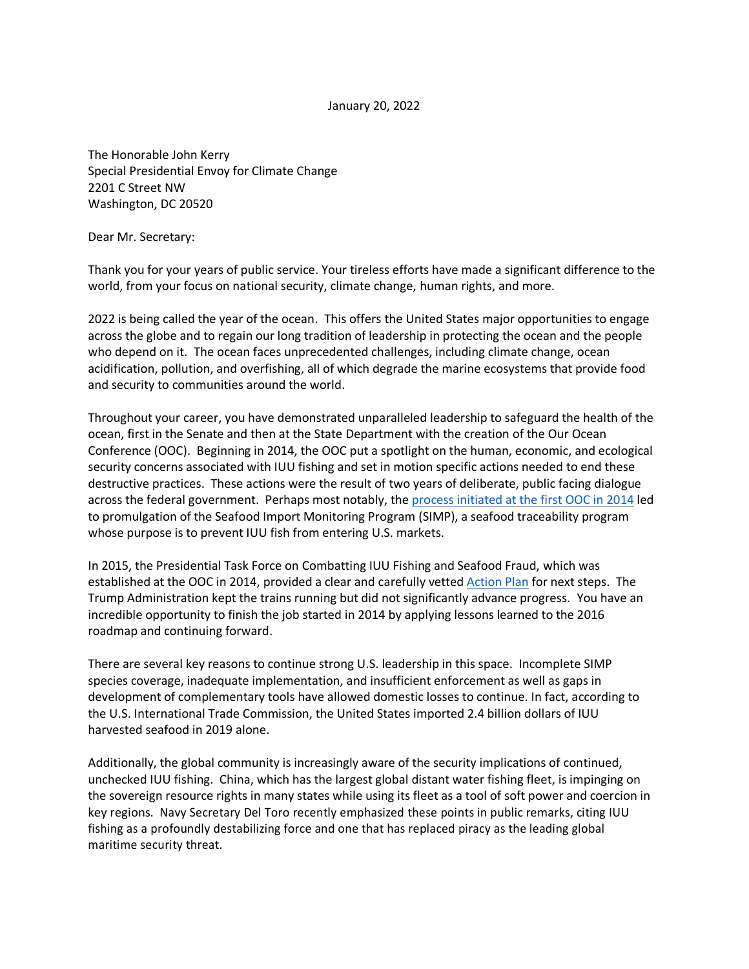January 20, 2022

The Honorable John Kerry Special Presidential Envoy for Climate Change 2201 C Street NW Washington, DC 20520

Dear Mr. Secretary:

Thank you for your years of public service. Your tireless efforts have made a significant difference to the world, from your focus on national security, climate change, human rights, and more.

2022 is being called the year of the ocean. This offers the United States major opportunities to engage across the globe and to regain our long tradition of leadership in protecting the ocean and the people who depend on it. The ocean faces unprecedented challenges, including climate change, ocean acidification, pollution, and overfishing, all of which degrade the marine ecosystems that provide food and security to communities around the world.

Throughout your career, you have demonstrated unparalleled leadership to safeguard the health of the ocean, first in the Senate and then at the State Department with the creation of the Our Ocean Conference (OOC). Beginning in 2014, the OOC put a spotlight on the human, economic, and ecological security concerns associated with IUU fishing and set in motion specific actions needed to end these destructive practices. These actions were the result of two years of deliberate, public facing dialogue across the federal government. Perhaps most notably, the [process initiated at the first OOC in 2014](https://obamawhitehouse.archives.gov/the-press-office/2014/06/17/presidential-memorandum-comprehensive-framework-combat-illegal-unreporte) led to promulgation of the Seafood Import Monitoring Program (SIMP), a seafood traceability program whose purpose is to prevent IUU fish from entering U.S. markets.

In 2015, the Presidential Task Force on Combatting IUU Fishing and Seafood Fraud, which was established at the OOC in 2014, provided a clear and carefully vette[d Action Plan](https://www.iuufishing.noaa.gov/Portals/33/noaa_taskforce_report_final.pdf) for next steps. The Trump Administration kept the trains running but did not significantly advance progress. You have an incredible opportunity to finish the job started in 2014 by applying lessons learned to the 2016 roadmap and continuing forward.

There are several key reasons to continue strong U.S. leadership in this space. Incomplete SIMP species coverage, inadequate implementation, and insufficient enforcement as well as gaps in development of complementary tools have allowed domestic losses to continue. In fact, according to the U.S. International Trade Commission, the United States imported 2.4 billion dollars of IUU harvested seafood in 2019 alone.

Additionally, the global community is increasingly aware of the security implications of continued, unchecked IUU fishing. China, which has the largest global distant water fishing fleet, is impinging on the sovereign resource rights in many states while using its fleet as a tool of soft power and coercion in key regions. Navy Secretary Del Toro recently emphasized these points in public remarks, citing IUU fishing as a profoundly destabilizing force and one that has replaced piracy as the leading global maritime security threat.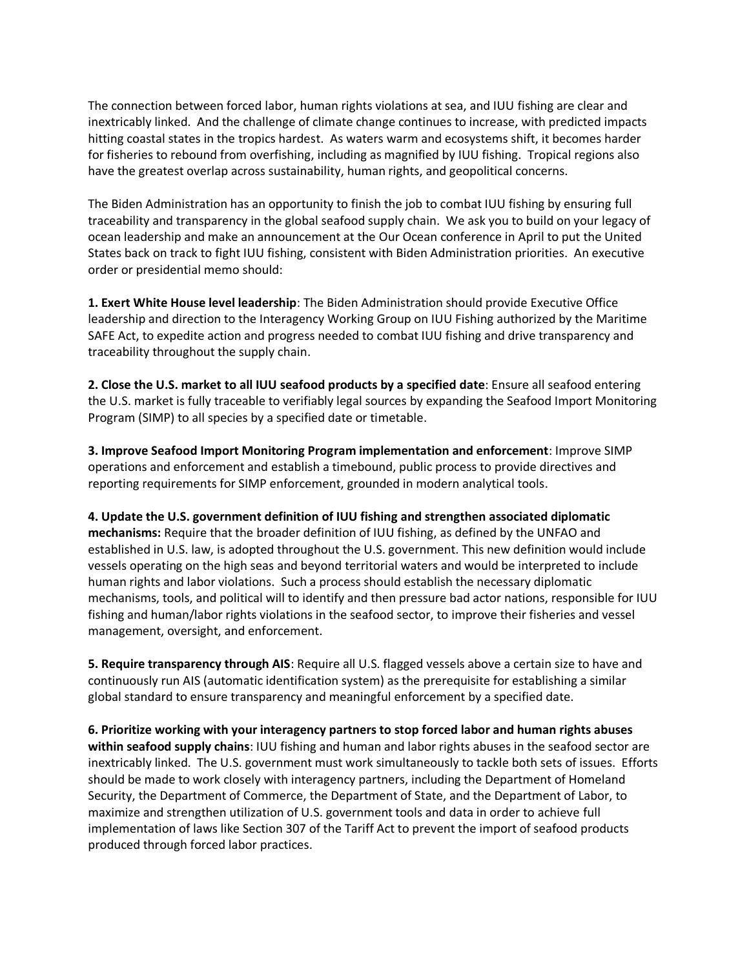The connection between forced labor, human rights violations at sea, and IUU fishing are clear and inextricably linked. And the challenge of climate change continues to increase, with predicted impacts hitting coastal states in the tropics hardest. As waters warm and ecosystems shift, it becomes harder for fisheries to rebound from overfishing, including as magnified by IUU fishing. Tropical regions also have the greatest overlap across sustainability, human rights, and geopolitical concerns.

The Biden Administration has an opportunity to finish the job to combat IUU fishing by ensuring full traceability and transparency in the global seafood supply chain. We ask you to build on your legacy of ocean leadership and make an announcement at the Our Ocean conference in April to put the United States back on track to fight IUU fishing, consistent with Biden Administration priorities. An executive order or presidential memo should:

**1. Exert White House level leadership**: The Biden Administration should provide Executive Office leadership and direction to the Interagency Working Group on IUU Fishing authorized by the Maritime SAFE Act, to expedite action and progress needed to combat IUU fishing and drive transparency and traceability throughout the supply chain.

**2. Close the U.S. market to all IUU seafood products by a specified date**: Ensure all seafood entering the U.S. market is fully traceable to verifiably legal sources by expanding the Seafood Import Monitoring Program (SIMP) to all species by a specified date or timetable.

**3. Improve Seafood Import Monitoring Program implementation and enforcement**: Improve SIMP operations and enforcement and establish a timebound, public process to provide directives and reporting requirements for SIMP enforcement, grounded in modern analytical tools.

**4. Update the U.S. government definition of IUU fishing and strengthen associated diplomatic mechanisms:** Require that the broader definition of IUU fishing, as defined by the UNFAO and established in U.S. law, is adopted throughout the U.S. government. This new definition would include vessels operating on the high seas and beyond territorial waters and would be interpreted to include human rights and labor violations. Such a process should establish the necessary diplomatic mechanisms, tools, and political will to identify and then pressure bad actor nations, responsible for IUU fishing and human/labor rights violations in the seafood sector, to improve their fisheries and vessel management, oversight, and enforcement.

**5. Require transparency through AIS**: Require all U.S. flagged vessels above a certain size to have and continuously run AIS (automatic identification system) as the prerequisite for establishing a similar global standard to ensure transparency and meaningful enforcement by a specified date.

**6. Prioritize working with your interagency partners to stop forced labor and human rights abuses within seafood supply chains**: IUU fishing and human and labor rights abuses in the seafood sector are inextricably linked. The U.S. government must work simultaneously to tackle both sets of issues. Efforts should be made to work closely with interagency partners, including the Department of Homeland Security, the Department of Commerce, the Department of State, and the Department of Labor, to maximize and strengthen utilization of U.S. government tools and data in order to achieve full implementation of laws like Section 307 of the Tariff Act to prevent the import of seafood products produced through forced labor practices.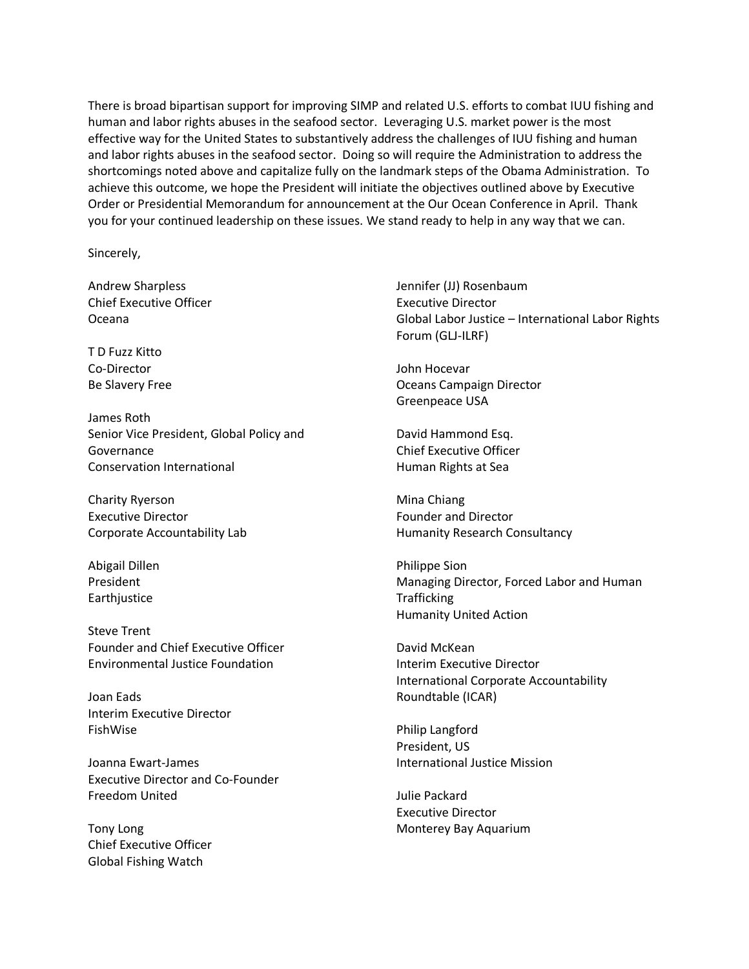There is broad bipartisan support for improving SIMP and related U.S. efforts to combat IUU fishing and human and labor rights abuses in the seafood sector. Leveraging U.S. market power is the most effective way for the United States to substantively address the challenges of IUU fishing and human and labor rights abuses in the seafood sector. Doing so will require the Administration to address the shortcomings noted above and capitalize fully on the landmark steps of the Obama Administration. To achieve this outcome, we hope the President will initiate the objectives outlined above by Executive Order or Presidential Memorandum for announcement at the Our Ocean Conference in April. Thank you for your continued leadership on these issues. We stand ready to help in any way that we can.

Sincerely,

Andrew Sharpless Chief Executive Officer Oceana

T D Fuzz Kitto Co-Director Be Slavery Free

James Roth Senior Vice President, Global Policy and Governance Conservation International

Charity Ryerson Executive Director Corporate Accountability Lab

Abigail Dillen President **Earthjustice** 

Steve Trent Founder and Chief Executive Officer Environmental Justice Foundation

Joan Eads Interim Executive Director FishWise

Joanna Ewart-James Executive Director and Co-Founder Freedom United

Tony Long Chief Executive Officer Global Fishing Watch

Jennifer (JJ) Rosenbaum Executive Director Global Labor Justice – International Labor Rights Forum (GLJ-ILRF)

John Hocevar Oceans Campaign Director Greenpeace USA

David Hammond Esq. Chief Executive Officer Human Rights at Sea

Mina Chiang Founder and Director Humanity Research Consultancy

Philippe Sion Managing Director, Forced Labor and Human **Trafficking** Humanity United Action

David McKean Interim Executive Director International Corporate Accountability Roundtable (ICAR)

Philip Langford President, US International Justice Mission

Julie Packard Executive Director Monterey Bay Aquarium